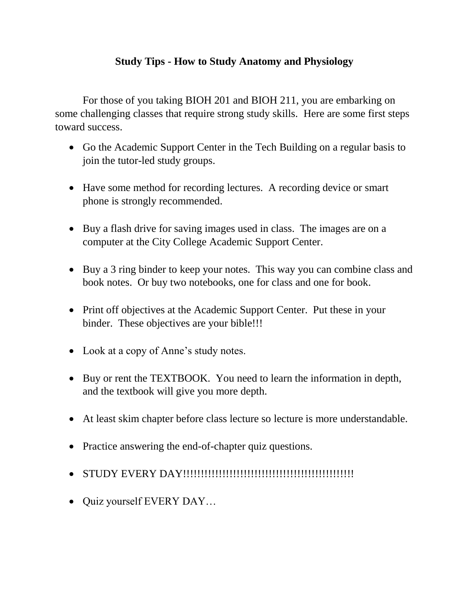## **Study Tips - How to Study Anatomy and Physiology**

For those of you taking BIOH 201 and BIOH 211, you are embarking on some challenging classes that require strong study skills. Here are some first steps toward success.

- Go the Academic Support Center in the Tech Building on a regular basis to join the tutor-led study groups.
- Have some method for recording lectures. A recording device or smart phone is strongly recommended.
- Buy a flash drive for saving images used in class. The images are on a computer at the City College Academic Support Center.
- Buy a 3 ring binder to keep your notes. This way you can combine class and book notes. Or buy two notebooks, one for class and one for book.
- Print off objectives at the Academic Support Center. Put these in your binder. These objectives are your bible!!!
- Look at a copy of Anne's study notes.
- Buy or rent the TEXTBOOK. You need to learn the information in depth, and the textbook will give you more depth.
- At least skim chapter before class lecture so lecture is more understandable.
- Practice answering the end-of-chapter quiz questions.
- STUDY EVERY DAY!!!!!!!!!!!!!!!!!!!!!!!!!!!!!!!!!!!!!!!!!!!!!!!!
- Quiz yourself EVERY DAY...